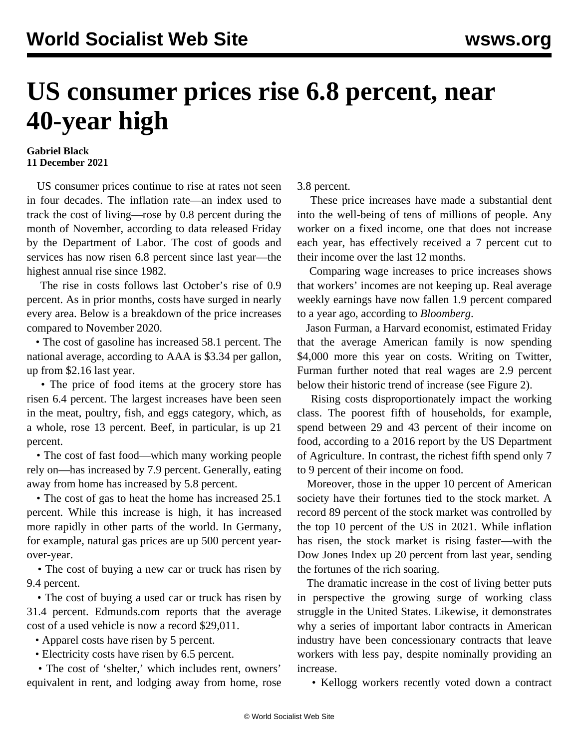## **US consumer prices rise 6.8 percent, near 40-year high**

## **Gabriel Black 11 December 2021**

 US consumer prices continue to rise at rates not seen in four decades. The inflation rate—an index used to track the cost of living—rose by 0.8 percent during the month of November, according to data released Friday by the Department of Labor. The cost of goods and services has now risen 6.8 percent since last year—the highest annual rise since 1982.

 The rise in costs follows last October's rise of 0.9 percent. As in prior months, costs have surged in nearly every area. Below is a breakdown of the price increases compared to November 2020.

 • The cost of gasoline has increased 58.1 percent. The national average, according to AAA is \$3.34 per gallon, up from \$2.16 last year.

 • The price of food items at the grocery store has risen 6.4 percent. The largest increases have been seen in the meat, poultry, fish, and eggs category, which, as a whole, rose 13 percent. Beef, in particular, is up 21 percent.

 • The cost of fast food—which many working people rely on—has increased by 7.9 percent. Generally, eating away from home has increased by 5.8 percent.

 • The cost of gas to heat the home has increased 25.1 percent. While this increase is high, it has increased more rapidly in other parts of the world. In Germany, for example, natural gas prices are up 500 percent yearover-year.

 • The cost of buying a new car or truck has risen by 9.4 percent.

 • The cost of buying a used car or truck has risen by 31.4 percent. Edmunds.com reports that the average cost of a used vehicle is now a record \$29,011.

• Apparel costs have risen by 5 percent.

• Electricity costs have risen by 6.5 percent.

 • The cost of 'shelter,' which includes rent, owners' equivalent in rent, and lodging away from home, rose 3.8 percent.

 These price increases have made a substantial dent into the well-being of tens of millions of people. Any worker on a fixed income, one that does not increase each year, has effectively received a 7 percent cut to their income over the last 12 months.

 Comparing wage increases to price increases shows that workers' incomes are not keeping up. Real average weekly earnings have now fallen 1.9 percent compared to a year ago, according to *Bloomberg*.

 Jason Furman, a Harvard economist, estimated Friday that the average American family is now spending \$4,000 more this year on costs. Writing on Twitter, Furman further noted that real wages are 2.9 percent below their historic trend of increase (see Figure 2).

 Rising costs disproportionately impact the working class. The poorest fifth of households, for example, spend between 29 and 43 percent of their income on food, according to a 2016 report by the US Department of Agriculture. In contrast, the richest fifth spend only 7 to 9 percent of their income on food.

 Moreover, those in the upper 10 percent of American society have their fortunes tied to the stock market. A record 89 percent of the stock market was controlled by the top 10 percent of the US in 2021. While inflation has risen, the stock market is rising faster—with the Dow Jones Index up 20 percent from last year, sending the fortunes of the rich soaring.

 The dramatic increase in the cost of living better puts in perspective the growing surge of working class struggle in the United States. Likewise, it demonstrates why a series of important labor contracts in American industry have been concessionary contracts that leave workers with less pay, despite nominally providing an increase.

• Kellogg workers recently [voted down](/en/articles/2021/12/08/kell-d08.html) a contract